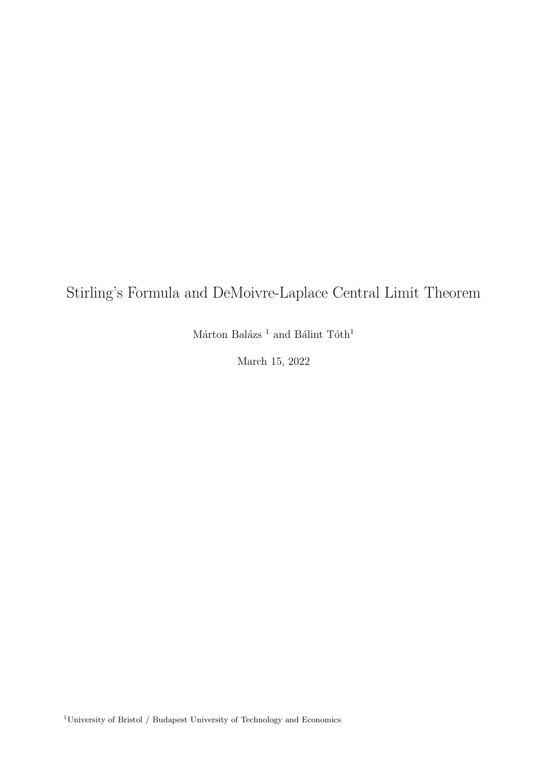## Stirling's Formula and DeMoivre-Laplace Central Limit Theorem

Márton Balázs $^1$  and Bálint  $\rm T\acute{o}th^1$ 

March 15, 2022

<sup>1</sup>University of Bristol  $/$  Budapest University of Technology and Economics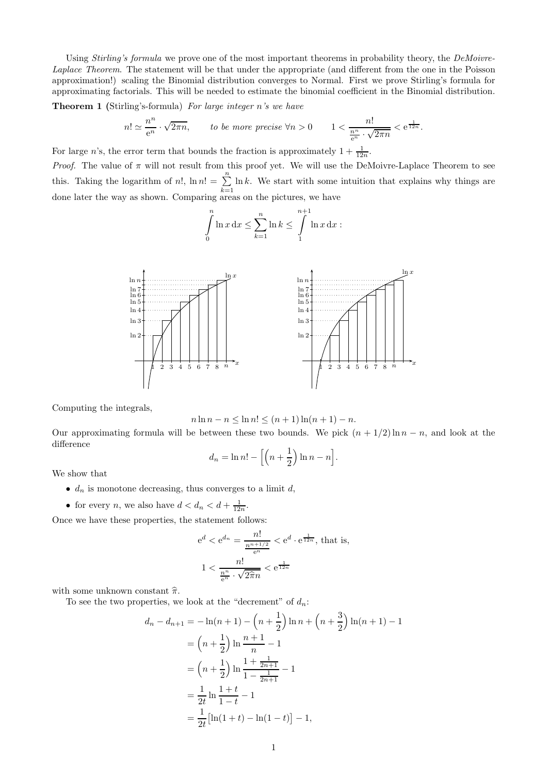Using *Stirling's formula* we prove one of the most important theorems in probability theory, the DeMoivre-Laplace Theorem. The statement will be that under the appropriate (and different from the one in the Poisson approximation!) scaling the Binomial distribution converges to Normal. First we prove Stirling's formula for approximating factorials. This will be needed to estimate the binomial coefficient in the Binomial distribution.

Theorem 1 (Stirling's-formula) For large integer n's we have

$$
n! \simeq \frac{n^n}{e^n} \cdot \sqrt{2\pi n}, \qquad \text{to be more precise } \forall n > 0 \qquad 1 < \frac{n!}{\frac{n^n}{e^n} \cdot \sqrt{2\pi n}} < e^{\frac{1}{12n}}.
$$

For large *n*'s, the error term that bounds the fraction is approximately  $1 + \frac{1}{12n}$ .

Proof. The value of  $\pi$  will not result from this proof yet. We will use the DeMoivre-Laplace Theorem to see this. Taking the logarithm of n!,  $\ln n! = \sum_{n=1}^{\infty}$  $k=1$  $\ln k$ . We start with some intuition that explains why things are done later the way as shown. Comparing areas on the pictures, we have

$$
\int_{0}^{n} \ln x \, dx \leq \sum_{k=1}^{n} \ln k \leq \int_{1}^{n+1} \ln x \, dx :
$$



Computing the integrals,

$$
n \ln n - n \le \ln n! \le (n+1) \ln(n+1) - n.
$$

Our approximating formula will be between these two bounds. We pick  $(n + 1/2) \ln n - n$ , and look at the difference

$$
d_n = \ln n! - \left[ \left( n + \frac{1}{2} \right) \ln n - n \right].
$$

We show that

- $d_n$  is monotone decreasing, thus converges to a limit d,
- for every *n*, we also have  $d < d_n < d + \frac{1}{12n}$ .

Once we have these properties, the statement follows:

$$
e^d < e^{d_n} = \frac{n!}{\frac{n^{n+1/2}}{e^n}} < e^d \cdot e^{\frac{1}{12n}}, \text{ that is,}
$$
\n
$$
1 < \frac{n!}{\frac{n^n}{e^n} \cdot \sqrt{2\hat{\pi}n}} < e^{\frac{1}{12n}}
$$

with some unknown constant  $\hat{\pi}$ .

To see the two properties, we look at the "decrement" of  $d_n$ :

$$
d_n - d_{n+1} = -\ln(n+1) - \left(n + \frac{1}{2}\right)\ln n + \left(n + \frac{3}{2}\right)\ln(n+1) - 1
$$
  
=  $\left(n + \frac{1}{2}\right)\ln\frac{n+1}{n} - 1$   
=  $\left(n + \frac{1}{2}\right)\ln\frac{1 + \frac{1}{2n+1}}{1 - \frac{1}{2n+1}} - 1$   
=  $\frac{1}{2t}\ln\frac{1+t}{1-t} - 1$   
=  $\frac{1}{2t}\left[\ln(1+t) - \ln(1-t)\right] - 1,$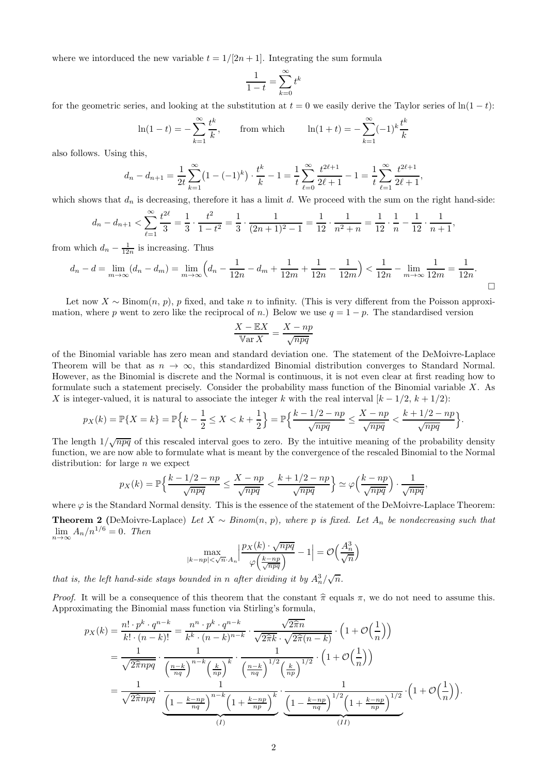where we intorduced the new variable  $t = 1/[2n + 1]$ . Integrating the sum formula

$$
\frac{1}{1-t} = \sum_{k=0}^{\infty} t^k
$$

for the geometric series, and looking at the substitution at  $t = 0$  we easily derive the Taylor series of  $\ln(1 - t)$ :

$$
\ln(1-t) = -\sum_{k=1}^{\infty} \frac{t^k}{k},
$$
 from which  $\ln(1+t) = -\sum_{k=1}^{\infty} (-1)^k \frac{t^k}{k}$ 

also follows. Using this,

$$
d_n - d_{n+1} = \frac{1}{2t} \sum_{k=1}^{\infty} \left(1 - (-1)^k\right) \cdot \frac{t^k}{k} - 1 = \frac{1}{t} \sum_{\ell=0}^{\infty} \frac{t^{2\ell+1}}{2\ell+1} - 1 = \frac{1}{t} \sum_{\ell=1}^{\infty} \frac{t^{2\ell+1}}{2\ell+1},
$$

which shows that  $d_n$  is decreasing, therefore it has a limit d. We proceed with the sum on the right hand-side:

$$
d_n - d_{n+1} < \sum_{\ell=1}^{\infty} \frac{t^{2\ell}}{3} = \frac{1}{3} \cdot \frac{t^2}{1 - t^2} = \frac{1}{3} \cdot \frac{1}{(2n+1)^2 - 1} = \frac{1}{12} \cdot \frac{1}{n^2 + n} = \frac{1}{12} \cdot \frac{1}{n} - \frac{1}{12} \cdot \frac{1}{n+1},
$$

from which  $d_n - \frac{1}{12n}$  is increasing. Thus

$$
d_n - d = \lim_{m \to \infty} (d_n - d_m) = \lim_{m \to \infty} \left( d_n - \frac{1}{12n} - d_m + \frac{1}{12m} + \frac{1}{12n} - \frac{1}{12m} \right) < \frac{1}{12n} - \lim_{m \to \infty} \frac{1}{12m} = \frac{1}{12n}.
$$

Let now  $X \sim \text{Binom}(n, p)$ , p fixed, and take n to infinity. (This is very different from the Poisson approximation, where p went to zero like the reciprocal of n.) Below we use  $q = 1 - p$ . The standardised version

$$
\frac{X - \mathbb{E}X}{\mathbb{V}\text{ar } X} = \frac{X - np}{\sqrt{npq}}
$$

of the Binomial variable has zero mean and standard deviation one. The statement of the DeMoivre-Laplace Theorem will be that as  $n \to \infty$ , this standardized Binomial distribution converges to Standard Normal. However, as the Binomial is discrete and the Normal is continuous, it is not even clear at first reading how to formulate such a statement precisely. Consider the probability mass function of the Binomial variable  $X$ . As X is integer-valued, it is natural to associate the integer k with the real interval  $[k-1/2, k+1/2]$ :

$$
p_X(k) = \mathbb{P}\{X = k\} = \mathbb{P}\Big\{k - \frac{1}{2} \le X < k + \frac{1}{2}\Big\} = \mathbb{P}\Big\{\frac{k - 1/2 - np}{\sqrt{npq}} \le \frac{X - np}{\sqrt{npq}} < \frac{k + 1/2 - np}{\sqrt{npq}}\Big\}.
$$

The length  $1/\sqrt{npq}$  of this rescaled interval goes to zero. By the intuitive meaning of the probability density function, we are now able to formulate what is meant by the convergence of the rescaled Binomial to the Normal distribution: for large  $n$  we expect

$$
p_X(k) = \mathbb{P}\left\{\frac{k-1/2-np}{\sqrt{npq}} \le \frac{X-np}{\sqrt{npq}} < \frac{k+1/2-np}{\sqrt{npq}} \right\} \simeq \varphi\left(\frac{k-np}{\sqrt{npq}}\right) \cdot \frac{1}{\sqrt{npq}},
$$

where  $\varphi$  is the Standard Normal density. This is the essence of the statement of the DeMoivre-Laplace Theorem: **Theorem 2** (DeMoivre-Laplace) Let  $X \sim Binom(n, p)$ , where p is fixed. Let  $A_n$  be nondecreasing such that  $\lim_{n\to\infty} A_n/n^{1/6} = 0$ . Then

$$
\max_{|k - np| < \sqrt{n} \cdot A_n} \left| \frac{p_X(k) \cdot \sqrt{n p q}}{\varphi \left( \frac{k - np}{\sqrt{n p q}} \right)} - 1 \right| = \mathcal{O} \left( \frac{A_n^3}{\sqrt{n}} \right)
$$

that is, the left hand-side stays bounded in n after dividing it by  $A_n^3/\sqrt{n}$ .

*Proof.* It will be a consequence of this theorem that the constant  $\hat{\pi}$  equals  $\pi$ , we do not need to assume this. Approximating the Binomial mass function via Stirling's formula,

$$
p_X(k) = \frac{n! \cdot p^k \cdot q^{n-k}}{k! \cdot (n-k)!} = \frac{n^n \cdot p^k \cdot q^{n-k}}{k^k \cdot (n-k)^{n-k}} \cdot \frac{\sqrt{2\pi n}}{\sqrt{2\pi k} \cdot \sqrt{2\pi (n-k)}} \cdot \left(1 + \mathcal{O}\left(\frac{1}{n}\right)\right)
$$
  
= 
$$
\frac{1}{\sqrt{2\pi npq}} \cdot \frac{1}{\left(\frac{n-k}{nq}\right)^{n-k} \left(\frac{k}{np}\right)^k} \cdot \frac{1}{\left(\frac{n-k}{nq}\right)^{1/2} \left(\frac{k}{np}\right)^{1/2}} \cdot \left(1 + \mathcal{O}\left(\frac{1}{n}\right)\right)
$$
  
= 
$$
\frac{1}{\sqrt{2\pi npq}} \cdot \frac{1}{\left(1 - \frac{k - np}{nq}\right)^{n-k} \left(1 + \frac{k - np}{np}\right)^k} \cdot \frac{1}{\left(1 - \frac{k - np}{nq}\right)^{1/2} \left(1 + \frac{k - np}{np}\right)^{1/2}} \cdot \left(1 + \mathcal{O}\left(\frac{1}{n}\right)\right).
$$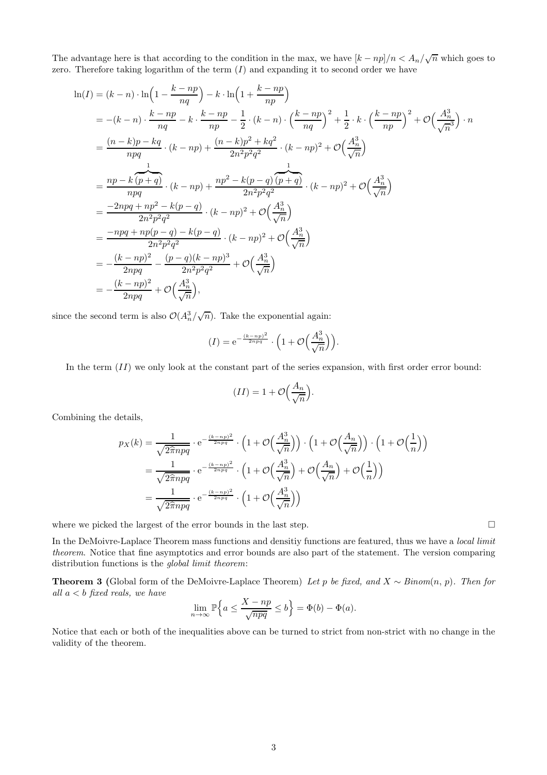The advantage here is that according to the condition in the max, we have  $[k - np]/n < A_n/\sqrt{n}$  which goes to zero. Therefore taking logarithm of the term  $(I)$  and expanding it to second order we have

$$
\ln(I) = (k - n) \cdot \ln\left(1 - \frac{k - np}{nq}\right) - k \cdot \ln\left(1 + \frac{k - np}{np}\right)
$$
  
\n
$$
= -(k - n) \cdot \frac{k - np}{nq} - k \cdot \frac{k - np}{np} - \frac{1}{2} \cdot (k - n) \cdot \left(\frac{k - np}{nq}\right)^2 + \frac{1}{2} \cdot k \cdot \left(\frac{k - np}{np}\right)^2 + \mathcal{O}\left(\frac{A_n^3}{n^3}\right) \cdot n
$$
  
\n
$$
= \frac{(n - k)p - kq}{npq} \cdot (k - np) + \frac{(n - k)p^2 + kq^2}{2n^2p^2q^2} \cdot (k - np)^2 + \mathcal{O}\left(\frac{A_n^3}{\sqrt{n}}\right)
$$
  
\n
$$
= \frac{np - k(p + q)}{npq} \cdot (k - np) + \frac{np^2 - k(p - q)(p + q)}{2n^2p^2q^2} \cdot (k - np)^2 + \mathcal{O}\left(\frac{A_n^3}{\sqrt{n}}\right)
$$
  
\n
$$
= \frac{-2npq + np^2 - k(p - q)}{2n^2p^2q^2} \cdot (k - np)^2 + \mathcal{O}\left(\frac{A_n^3}{\sqrt{n}}\right)
$$
  
\n
$$
= \frac{-npq + np(p - q) - k(p - q)}{2n^2p^2q^2} \cdot (k - np)^2 + \mathcal{O}\left(\frac{A_n^3}{\sqrt{n}}\right)
$$
  
\n
$$
= \frac{(k - np)^2}{2npq} - \frac{(p - q)(k - np)^3}{2n^2p^2q^2} + \mathcal{O}\left(\frac{A_n^3}{\sqrt{n}}\right)
$$
  
\n
$$
= -\frac{(k - np)^2}{2npq} + \mathcal{O}\left(\frac{A_n^3}{\sqrt{n}}\right),
$$

since the second term is also  $\mathcal{O}(A_n^3/\sqrt{n})$ . Take the exponential again:

$$
(I) = e^{-\frac{(k-np)^2}{2npq}} \cdot \left(1 + \mathcal{O}\left(\frac{A_n^3}{\sqrt{n}}\right)\right).
$$

In the term  $(II)$  we only look at the constant part of the series expansion, with first order error bound:

$$
(II) = 1 + \mathcal{O}\left(\frac{A_n}{\sqrt{n}}\right).
$$

Combining the details,

$$
p_X(k) = \frac{1}{\sqrt{2\hat{\pi}npq}} \cdot e^{-\frac{(k-np)^2}{2npq}} \cdot \left(1 + \mathcal{O}\left(\frac{A_n^3}{\sqrt{n}}\right)\right) \cdot \left(1 + \mathcal{O}\left(\frac{A_n}{\sqrt{n}}\right)\right) \cdot \left(1 + \mathcal{O}\left(\frac{1}{n}\right)\right)
$$

$$
= \frac{1}{\sqrt{2\hat{\pi}npq}} \cdot e^{-\frac{(k-np)^2}{2npq}} \cdot \left(1 + \mathcal{O}\left(\frac{A_n^3}{\sqrt{n}}\right) + \mathcal{O}\left(\frac{A_n}{\sqrt{n}}\right)\right)
$$

$$
= \frac{1}{\sqrt{2\hat{\pi}npq}} \cdot e^{-\frac{(k-np)^2}{2npq}} \cdot \left(1 + \mathcal{O}\left(\frac{A_n^3}{\sqrt{n}}\right)\right)
$$

where we picked the largest of the error bounds in the last step.

In the DeMoivre-Laplace Theorem mass functions and densitiy functions are featured, thus we have a local limit theorem. Notice that fine asymptotics and error bounds are also part of the statement. The version comparing distribution functions is the global limit theorem:

**Theorem 3** (Global form of the DeMoivre-Laplace Theorem) Let p be fixed, and  $X \sim Binom(n, p)$ . Then for all  $a < b$  fixed reals, we have

$$
\lim_{n \to \infty} \mathbb{P}\Big\{a \le \frac{X - np}{\sqrt{npq}} \le b\Big\} = \Phi(b) - \Phi(a).
$$

Notice that each or both of the inequalities above can be turned to strict from non-strict with no change in the validity of the theorem.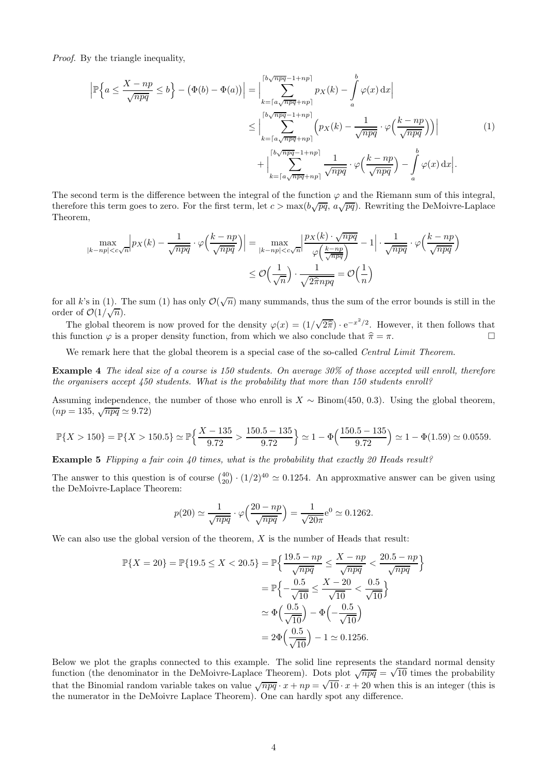Proof. By the triangle inequality,

$$
\left| \mathbb{P} \left\{ a \le \frac{X - np}{\sqrt{npq}} \le b \right\} - \left( \Phi(b) - \Phi(a) \right) \right| = \left| \sum_{k = \lceil a \sqrt{npq} + np \rceil}^{\lceil b \sqrt{npq} - 1 + np \rceil} p_X(k) - \int_a^b \varphi(x) dx \right|
$$
  

$$
\le \left| \sum_{k = \lceil a \sqrt{npq} + np \rceil}^{\lceil b \sqrt{npq} - 1 + np \rceil} \left( p_X(k) - \frac{1}{\sqrt{npq}} \cdot \varphi\left(\frac{k - np}{\sqrt{npq}}\right) \right) \right|
$$
  

$$
+ \left| \sum_{k = \lceil a \sqrt{npq} + np \rceil}^{\lceil b \sqrt{npq} - 1 + np \rceil} \frac{1}{\sqrt{npq}} \cdot \varphi\left(\frac{k - np}{\sqrt{npq}}\right) - \int_a^b \varphi(x) dx \right|.
$$
  
(1)

The second term is the difference between the integral of the function  $\varphi$  and the Riemann sum of this integral, therefore this term goes to zero. For the first term, let  $c > \max(b\sqrt{pq}, a\sqrt{pq})$ . Rewriting the DeMoivre-Laplace Theorem,

$$
\max_{|k - np| < c\sqrt{n}} \left| p_X(k) - \frac{1}{\sqrt{npq}} \cdot \varphi\left(\frac{k - np}{\sqrt{npq}}\right) \right| = \max_{|k - np| < c\sqrt{n}} \left| \frac{p_X(k) \cdot \sqrt{npq}}{\varphi\left(\frac{k - np}{\sqrt{npq}}\right)} - 1 \right| \cdot \frac{1}{\sqrt{npq}} \cdot \varphi\left(\frac{k - np}{\sqrt{npq}}\right) \le \mathcal{O}\left(\frac{1}{\sqrt{n}}\right) \cdot \frac{1}{\sqrt{2\pi npq}} = \mathcal{O}\left(\frac{1}{n}\right)
$$

for all k's in (1). The sum (1) has only  $\mathcal{O}(\sqrt{n})$  many summands, thus the sum of the error bounds is still in the order of  $\mathcal{O}(1/\sqrt{n}).$ 

The global theorem is now proved for the density  $\varphi(x) = (1/\sqrt{2\hat{\pi}}) \cdot e^{-x^2/2}$ . However, it then follows that this function  $\varphi$  is a proper density function, from which we also conclude that  $\hat{\pi} = \pi$ .

We remark here that the global theorem is a special case of the so-called Central Limit Theorem.

Example 4 The ideal size of a course is 150 students. On average 30% of those accepted will enroll, therefore the organisers accept  $\mu$ <sub>50</sub> students. What is the probability that more than 150 students enroll?

Assuming independence, the number of those who enroll is  $X \sim Binom(450, 0.3)$ . Using the global theorem,  $(np = 135, \sqrt{npq} \simeq 9.72)$ 

$$
\mathbb{P}\{X > 150\} = \mathbb{P}\{X > 150.5\} \simeq \mathbb{P}\left\{\frac{X - 135}{9.72} > \frac{150.5 - 135}{9.72}\right\} \simeq 1 - \Phi\left(\frac{150.5 - 135}{9.72}\right) \simeq 1 - \Phi(1.59) \simeq 0.0559.
$$

Example 5 Flipping a fair coin 40 times, what is the probability that exactly 20 Heads result?

The answer to this question is of course  $\binom{40}{20} \cdot (1/2)^{40} \simeq 0.1254$ . An approxmative answer can be given using the DeMoivre-Laplace Theorem:

$$
p(20) \simeq \frac{1}{\sqrt{npq}} \cdot \varphi\left(\frac{20 - np}{\sqrt{npq}}\right) = \frac{1}{\sqrt{20\pi}} e^0 \simeq 0.1262.
$$

We can also use the global version of the theorem,  $X$  is the number of Heads that result:

$$
\mathbb{P}\{X=20\} = \mathbb{P}\{19.5 \le X < 20.5\} = \mathbb{P}\left\{\frac{19.5 - np}{\sqrt{npq}} \le \frac{X - np}{\sqrt{npq}} < \frac{20.5 - np}{\sqrt{npq}}\right\}
$$
\n
$$
= \mathbb{P}\left\{-\frac{0.5}{\sqrt{10}} \le \frac{X - 20}{\sqrt{10}} < \frac{0.5}{\sqrt{10}}\right\}
$$
\n
$$
\simeq \Phi\left(\frac{0.5}{\sqrt{10}}\right) - \Phi\left(-\frac{0.5}{\sqrt{10}}\right)
$$
\n
$$
= 2\Phi\left(\frac{0.5}{\sqrt{10}}\right) - 1 \simeq 0.1256.
$$

Below we plot the graphs connected to this example. The solid line represents the standard normal density function (the denominator in the DeMoivre-Laplace Theorem). Dots plot  $\sqrt{npq} = \sqrt{10}$  times the probability that the Binomial random variable takes on value  $\sqrt{npq} \cdot x + np = \sqrt{10} \cdot x + 20$  when this is an integer (this is the numerator in the DeMoivre Laplace Theorem). One can hardly spot any difference.